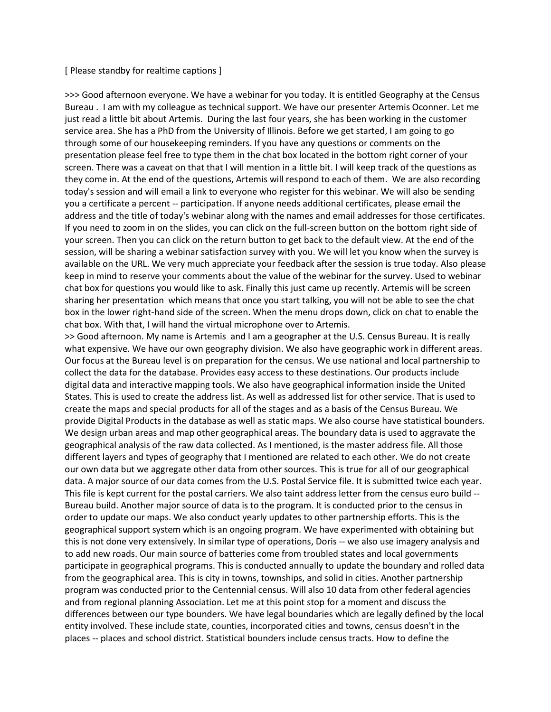## [ Please standby for realtime captions ]

>>> Good afternoon everyone. We have a webinar for you today. It is entitled Geography at the Census Bureau . I am with my colleague as technical support. We have our presenter Artemis Oconner. Let me just read a little bit about Artemis. During the last four years, she has been working in the customer service area. She has a PhD from the University of Illinois. Before we get started, I am going to go through some of our housekeeping reminders. If you have any questions or comments on the presentation please feel free to type them in the chat box located in the bottom right corner of your screen. There was a caveat on that that I will mention in a little bit. I will keep track of the questions as they come in. At the end of the questions, Artemis will respond to each of them. We are also recording today's session and will email a link to everyone who register for this webinar. We will also be sending you a certificate a percent -- participation. If anyone needs additional certificates, please email the address and the title of today's webinar along with the names and email addresses for those certificates. If you need to zoom in on the slides, you can click on the full-screen button on the bottom right side of your screen. Then you can click on the return button to get back to the default view. At the end of the session, will be sharing a webinar satisfaction survey with you. We will let you know when the survey is available on the URL. We very much appreciate your feedback after the session is true today. Also please keep in mind to reserve your comments about the value of the webinar for the survey. Used to webinar chat box for questions you would like to ask. Finally this just came up recently. Artemis will be screen sharing her presentation which means that once you start talking, you will not be able to see the chat box in the lower right-hand side of the screen. When the menu drops down, click on chat to enable the chat box. With that, I will hand the virtual microphone over to Artemis.

>> Good afternoon. My name is Artemis and I am a geographer at the U.S. Census Bureau. It is really what expensive. We have our own geography division. We also have geographic work in different areas. Our focus at the Bureau level is on preparation for the census. We use national and local partnership to collect the data for the database. Provides easy access to these destinations. Our products include digital data and interactive mapping tools. We also have geographical information inside the United States. This is used to create the address list. As well as addressed list for other service. That is used to create the maps and special products for all of the stages and as a basis of the Census Bureau. We provide Digital Products in the database as well as static maps. We also course have statistical bounders. We design urban areas and map other geographical areas. The boundary data is used to aggravate the geographical analysis of the raw data collected. As I mentioned, is the master address file. All those different layers and types of geography that I mentioned are related to each other. We do not create our own data but we aggregate other data from other sources. This is true for all of our geographical data. A major source of our data comes from the U.S. Postal Service file. It is submitted twice each year. This file is kept current for the postal carriers. We also taint address letter from the census euro build -- Bureau build. Another major source of data is to the program. It is conducted prior to the census in order to update our maps. We also conduct yearly updates to other partnership efforts. This is the geographical support system which is an ongoing program. We have experimented with obtaining but this is not done very extensively. In similar type of operations, Doris -- we also use imagery analysis and to add new roads. Our main source of batteries come from troubled states and local governments participate in geographical programs. This is conducted annually to update the boundary and rolled data from the geographical area. This is city in towns, townships, and solid in cities. Another partnership program was conducted prior to the Centennial census. Will also 10 data from other federal agencies and from regional planning Association. Let me at this point stop for a moment and discuss the differences between our type bounders. We have legal boundaries which are legally defined by the local entity involved. These include state, counties, incorporated cities and towns, census doesn't in the places -- places and school district. Statistical bounders include census tracts. How to define the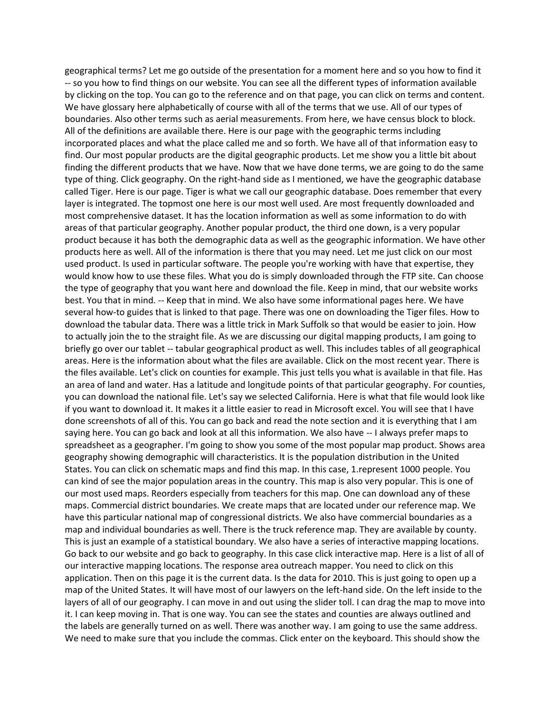geographical terms? Let me go outside of the presentation for a moment here and so you how to find it -- so you how to find things on our website. You can see all the different types of information available by clicking on the top. You can go to the reference and on that page, you can click on terms and content. We have glossary here alphabetically of course with all of the terms that we use. All of our types of boundaries. Also other terms such as aerial measurements. From here, we have census block to block. All of the definitions are available there. Here is our page with the geographic terms including incorporated places and what the place called me and so forth. We have all of that information easy to find. Our most popular products are the digital geographic products. Let me show you a little bit about finding the different products that we have. Now that we have done terms, we are going to do the same type of thing. Click geography. On the right-hand side as I mentioned, we have the geographic database called Tiger. Here is our page. Tiger is what we call our geographic database. Does remember that every layer is integrated. The topmost one here is our most well used. Are most frequently downloaded and most comprehensive dataset. It has the location information as well as some information to do with areas of that particular geography. Another popular product, the third one down, is a very popular product because it has both the demographic data as well as the geographic information. We have other products here as well. All of the information is there that you may need. Let me just click on our most used product. Is used in particular software. The people you're working with have that expertise, they would know how to use these files. What you do is simply downloaded through the FTP site. Can choose the type of geography that you want here and download the file. Keep in mind, that our website works best. You that in mind. -- Keep that in mind. We also have some informational pages here. We have several how-to guides that is linked to that page. There was one on downloading the Tiger files. How to download the tabular data. There was a little trick in Mark Suffolk so that would be easier to join. How to actually join the to the straight file. As we are discussing our digital mapping products, I am going to briefly go over our tablet -- tabular geographical product as well. This includes tables of all geographical areas. Here is the information about what the files are available. Click on the most recent year. There is the files available. Let's click on counties for example. This just tells you what is available in that file. Has an area of land and water. Has a latitude and longitude points of that particular geography. For counties, you can download the national file. Let's say we selected California. Here is what that file would look like if you want to download it. It makes it a little easier to read in Microsoft excel. You will see that I have done screenshots of all of this. You can go back and read the note section and it is everything that I am saying here. You can go back and look at all this information. We also have -- I always prefer maps to spreadsheet as a geographer. I'm going to show you some of the most popular map product. Shows area geography showing demographic will characteristics. It is the population distribution in the United States. You can click on schematic maps and find this map. In this case, 1.represent 1000 people. You can kind of see the major population areas in the country. This map is also very popular. This is one of our most used maps. Reorders especially from teachers for this map. One can download any of these maps. Commercial district boundaries. We create maps that are located under our reference map. We have this particular national map of congressional districts. We also have commercial boundaries as a map and individual boundaries as well. There is the truck reference map. They are available by county. This is just an example of a statistical boundary. We also have a series of interactive mapping locations. Go back to our website and go back to geography. In this case click interactive map. Here is a list of all of our interactive mapping locations. The response area outreach mapper. You need to click on this application. Then on this page it is the current data. Is the data for 2010. This is just going to open up a map of the United States. It will have most of our lawyers on the left-hand side. On the left inside to the layers of all of our geography. I can move in and out using the slider toll. I can drag the map to move into it. I can keep moving in. That is one way. You can see the states and counties are always outlined and the labels are generally turned on as well. There was another way. I am going to use the same address. We need to make sure that you include the commas. Click enter on the keyboard. This should show the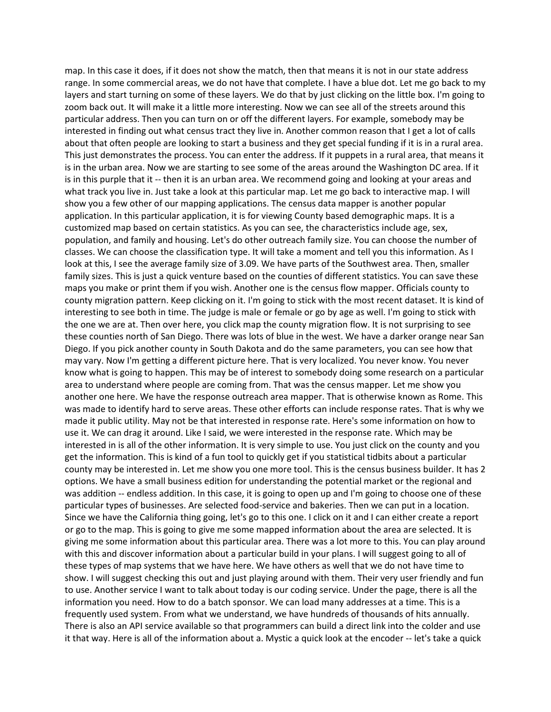map. In this case it does, if it does not show the match, then that means it is not in our state address range. In some commercial areas, we do not have that complete. I have a blue dot. Let me go back to my layers and start turning on some of these layers. We do that by just clicking on the little box. I'm going to zoom back out. It will make it a little more interesting. Now we can see all of the streets around this particular address. Then you can turn on or off the different layers. For example, somebody may be interested in finding out what census tract they live in. Another common reason that I get a lot of calls about that often people are looking to start a business and they get special funding if it is in a rural area. This just demonstrates the process. You can enter the address. If it puppets in a rural area, that means it is in the urban area. Now we are starting to see some of the areas around the Washington DC area. If it is in this purple that it -- then it is an urban area. We recommend going and looking at your areas and what track you live in. Just take a look at this particular map. Let me go back to interactive map. I will show you a few other of our mapping applications. The census data mapper is another popular application. In this particular application, it is for viewing County based demographic maps. It is a customized map based on certain statistics. As you can see, the characteristics include age, sex, population, and family and housing. Let's do other outreach family size. You can choose the number of classes. We can choose the classification type. It will take a moment and tell you this information. As I look at this, I see the average family size of 3.09. We have parts of the Southwest area. Then, smaller family sizes. This is just a quick venture based on the counties of different statistics. You can save these maps you make or print them if you wish. Another one is the census flow mapper. Officials county to county migration pattern. Keep clicking on it. I'm going to stick with the most recent dataset. It is kind of interesting to see both in time. The judge is male or female or go by age as well. I'm going to stick with the one we are at. Then over here, you click map the county migration flow. It is not surprising to see these counties north of San Diego. There was lots of blue in the west. We have a darker orange near San Diego. If you pick another county in South Dakota and do the same parameters, you can see how that may vary. Now I'm getting a different picture here. That is very localized. You never know. You never know what is going to happen. This may be of interest to somebody doing some research on a particular area to understand where people are coming from. That was the census mapper. Let me show you another one here. We have the response outreach area mapper. That is otherwise known as Rome. This was made to identify hard to serve areas. These other efforts can include response rates. That is why we made it public utility. May not be that interested in response rate. Here's some information on how to use it. We can drag it around. Like I said, we were interested in the response rate. Which may be interested in is all of the other information. It is very simple to use. You just click on the county and you get the information. This is kind of a fun tool to quickly get if you statistical tidbits about a particular county may be interested in. Let me show you one more tool. This is the census business builder. It has 2 options. We have a small business edition for understanding the potential market or the regional and was addition -- endless addition. In this case, it is going to open up and I'm going to choose one of these particular types of businesses. Are selected food-service and bakeries. Then we can put in a location. Since we have the California thing going, let's go to this one. I click on it and I can either create a report or go to the map. This is going to give me some mapped information about the area are selected. It is giving me some information about this particular area. There was a lot more to this. You can play around with this and discover information about a particular build in your plans. I will suggest going to all of these types of map systems that we have here. We have others as well that we do not have time to show. I will suggest checking this out and just playing around with them. Their very user friendly and fun to use. Another service I want to talk about today is our coding service. Under the page, there is all the information you need. How to do a batch sponsor. We can load many addresses at a time. This is a frequently used system. From what we understand, we have hundreds of thousands of hits annually. There is also an API service available so that programmers can build a direct link into the colder and use it that way. Here is all of the information about a. Mystic a quick look at the encoder -- let's take a quick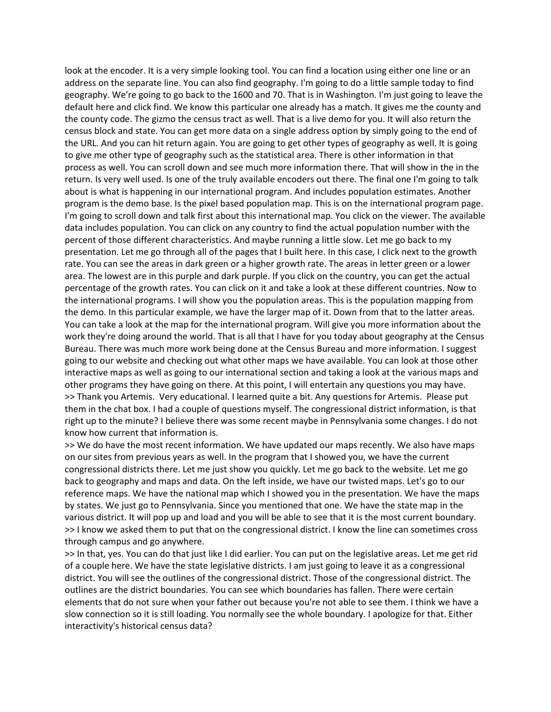look at the encoder. It is a very simple looking tool. You can find a location using either one line or an address on the separate line. You can also find geography. I'm going to do a little sample today to find geography. We're going to go back to the 1600 and 70. That is in Washington. I'm just going to leave the default here and click find. We know this particular one already has a match. It gives me the county and the county code. The gizmo the census tract as well. That is a live demo for you. It will also return the census block and state. You can get more data on a single address option by simply going to the end of the URL. And you can hit return again. You are going to get other types of geography as well. It is going to give me other type of geography such as the statistical area. There is other information in that process as well. You can scroll down and see much more information there. That will show in the in the return. Is very well used. Is one of the truly available encoders out there. The final one I'm going to talk about is what is happening in our international program. And includes population estimates. Another program is the demo base. Is the pixel based population map. This is on the international program page. I'm going to scroll down and talk first about this international map. You click on the viewer. The available data includes population. You can click on any country to find the actual population number with the percent of those different characteristics. And maybe running a little slow. Let me go back to my presentation. Let me go through all of the pages that I built here. In this case, I click next to the growth rate. You can see the areas in dark green or a higher growth rate. The areas in letter green or a lower area. The lowest are in this purple and dark purple. If you click on the country, you can get the actual percentage of the growth rates. You can click on it and take a look at these different countries. Now to the international programs. I will show you the population areas. This is the population mapping from the demo. In this particular example, we have the larger map of it. Down from that to the latter areas. You can take a look at the map for the international program. Will give you more information about the work they're doing around the world. That is all that I have for you today about geography at the Census Bureau. There was much more work being done at the Census Bureau and more information. I suggest going to our website and checking out what other maps we have available. You can look at those other interactive maps as well as going to our international section and taking a look at the various maps and other programs they have going on there. At this point, I will entertain any questions you may have. >> Thank you Artemis. Very educational. I learned quite a bit. Any questions for Artemis. Please put them in the chat box. I had a couple of questions myself. The congressional district information, is that right up to the minute? I believe there was some recent maybe in Pennsylvania some changes. I do not know how current that information is.

>> We do have the most recent information. We have updated our maps recently. We also have maps on our sites from previous years as well. In the program that I showed you, we have the current congressional districts there. Let me just show you quickly. Let me go back to the website. Let me go back to geography and maps and data. On the left inside, we have our twisted maps. Let's go to our reference maps. We have the national map which I showed you in the presentation. We have the maps by states. We just go to Pennsylvania. Since you mentioned that one. We have the state map in the various district. It will pop up and load and you will be able to see that it is the most current boundary. >> I know we asked them to put that on the congressional district. I know the line can sometimes cross through campus and go anywhere.

>> In that, yes. You can do that just like I did earlier. You can put on the legislative areas. Let me get rid of a couple here. We have the state legislative districts. I am just going to leave it as a congressional district. You will see the outlines of the congressional district. Those of the congressional district. The outlines are the district boundaries. You can see which boundaries has fallen. There were certain elements that do not sure when your father out because you're not able to see them. I think we have a slow connection so it is still loading. You normally see the whole boundary. I apologize for that. Either interactivity's historical census data?